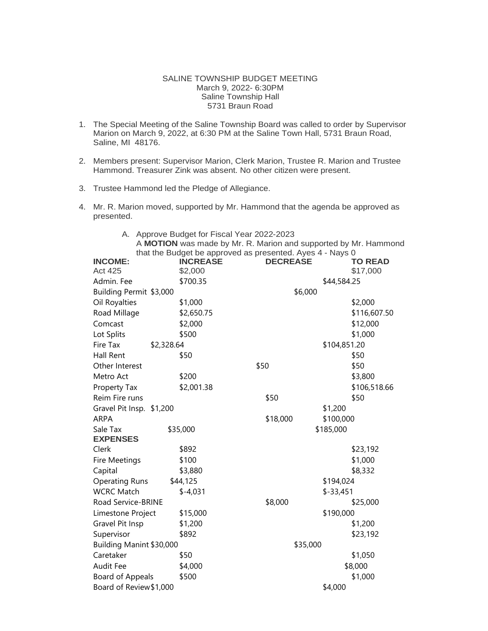## SALINE TOWNSHIP BUDGET MEETING March 9, 2022- 6:30PM Saline Township Hall 5731 Braun Road

- 1. The Special Meeting of the Saline Township Board was called to order by Supervisor Marion on March 9, 2022, at 6:30 PM at the Saline Town Hall, 5731 Braun Road, Saline, MI 48176.
- 2. Members present: Supervisor Marion, Clerk Marion, Trustee R. Marion and Trustee Hammond. Treasurer Zink was absent. No other citizen were present.
- 3. Trustee Hammond led the Pledge of Allegiance.
- 4. Mr. R. Marion moved, supported by Mr. Hammond that the agenda be approved as presented.

| A. Approve Budget for Fiscal Year 2022-2023                     |  |  |  |  |
|-----------------------------------------------------------------|--|--|--|--|
| A MOTION was made by Mr. R. Marion and supported by Mr. Hammond |  |  |  |  |
| that the Budget be approved as presented. Ayes 4 - Nays 0       |  |  |  |  |

| <b>INCOME:</b><br><b>Act 425</b> | <b>INCREASE</b><br>\$2,000 | <b>DECREASE</b> |              | <b>TO READ</b><br>\$17,000 |
|----------------------------------|----------------------------|-----------------|--------------|----------------------------|
| Admin. Fee                       | \$700.35                   |                 | \$44,584.25  |                            |
| Building Permit \$3,000          |                            | \$6,000         |              |                            |
| Oil Royalties                    | \$1,000                    |                 |              | \$2,000                    |
| Road Millage                     | \$2,650.75                 |                 |              | \$116,607.50               |
| Comcast                          | \$2,000                    |                 |              | \$12,000                   |
|                                  | \$500                      |                 |              | \$1,000                    |
| Lot Splits<br>Fire Tax           |                            |                 | \$104,851.20 |                            |
| \$2,328.64<br>Hall Rent          | \$50                       |                 |              | \$50                       |
| Other Interest                   |                            | \$50            |              | \$50                       |
|                                  |                            |                 |              |                            |
| Metro Act                        | \$200                      |                 |              | \$3,800                    |
| Property Tax                     | \$2,001.38                 |                 |              | \$106,518.66               |
| Reim Fire runs                   |                            | \$50            |              | \$50                       |
| Gravel Pit Insp. \$1,200         |                            |                 | \$1,200      |                            |
| <b>ARPA</b>                      |                            | \$18,000        | \$100,000    |                            |
| Sale Tax<br><b>EXPENSES</b>      | \$35,000                   |                 | \$185,000    |                            |
| Clerk                            | \$892                      |                 |              | \$23,192                   |
| Fire Meetings                    | \$100                      |                 |              | \$1,000                    |
| Capital                          | \$3,880                    |                 |              | \$8,332                    |
| <b>Operating Runs</b>            | \$44,125                   |                 | \$194,024    |                            |
| <b>WCRC Match</b>                | $$-4,031$                  |                 | $$-33,451$   |                            |
| Road Service-BRINE               |                            | \$8,000         |              | \$25,000                   |
| Limestone Project                | \$15,000                   |                 | \$190,000    |                            |
| Gravel Pit Insp                  | \$1,200                    |                 |              | \$1,200                    |
| Supervisor                       | \$892                      |                 |              | \$23,192                   |
| Building Manint \$30,000         |                            | \$35,000        |              |                            |
| Caretaker                        | \$50                       |                 |              | \$1,050                    |
| Audit Fee                        | \$4,000                    |                 |              | \$8,000                    |
| Board of Appeals                 | \$500                      |                 |              | \$1,000                    |
| Board of Review \$1,000          |                            |                 | \$4,000      |                            |